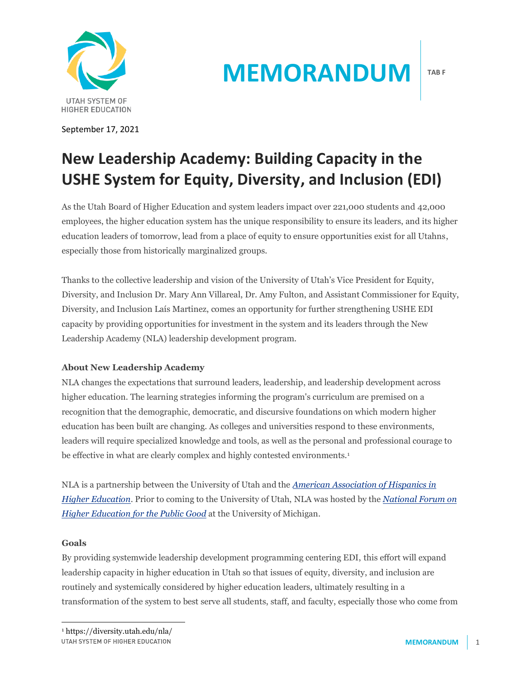

September 17, 2021

# **MEMORANDUM**

## **New Leadership Academy: Building Capacity in the USHE System for Equity, Diversity, and Inclusion (EDI)**

As the Utah Board of Higher Education and system leaders impact over 221,000 students and 42,000 employees, the higher education system has the unique responsibility to ensure its leaders, and its higher education leaders of tomorrow, lead from a place of equity to ensure opportunities exist for all Utahns, especially those from historically marginalized groups.

Thanks to the collective leadership and vision of the University of Utah's Vice President for Equity, Diversity, and Inclusion Dr. Mary Ann Villareal, Dr. Amy Fulton, and Assistant Commissioner for Equity, Diversity, and Inclusion Laís Martinez, comes an opportunity for further strengthening USHE EDI capacity by providing opportunities for investment in the system and its leaders through the New Leadership Academy (NLA) leadership development program.

### **About New Leadership Academy**

NLA changes the expectations that surround leaders, leadership, and leadership development across higher education. The learning strategies informing the program's curriculum are premised on a recognition that the demographic, democratic, and discursive foundations on which modern higher education has been built are changing. As colleges and universities respond to these environments, leaders will require specialized knowledge and tools, as well as the personal and professional courage to be effective in what are clearly complex and highly contested environments.<sup>1</sup>

NLA is a partnership between the University of Utah and the *[American Association of Hispanics in](https://www.aahhe.org/)  [Higher Education](https://www.aahhe.org/)*. Prior to coming to the University of Utah, NLA was hosted by the *[National Forum on](https://thenationalforum.org/)  [Higher Education for the Public Good](https://thenationalforum.org/)* at the University of Michigan.

#### **Goals**

By providing systemwide leadership development programming centering EDI, this effort will expand leadership capacity in higher education in Utah so that issues of equity, diversity, and inclusion are routinely and systemically considered by higher education leaders, ultimately resulting in a transformation of the system to best serve all students, staff, and faculty, especially those who come from